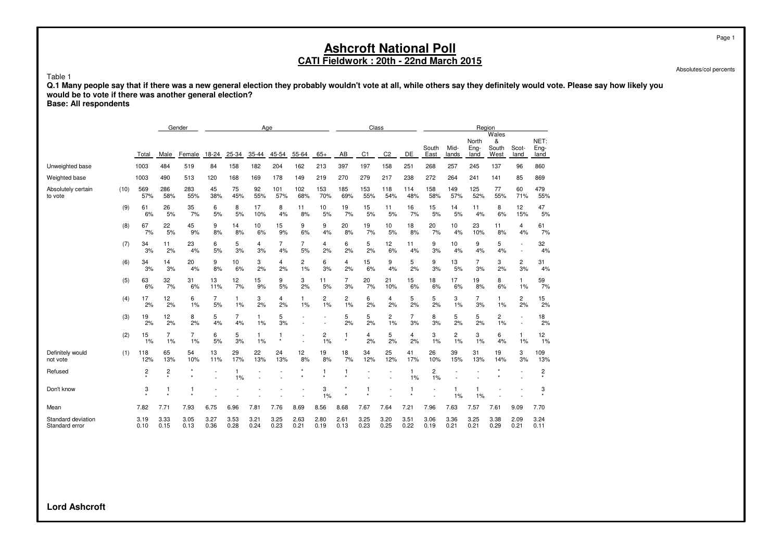Absolutes/col percents

Table 1 **Q.1 Many people say that if there was a new general election they probably wouldn't vote at all, while others say they definitely would vote. Please say how likely you would be to vote if there was another general election?**

**Base: All respondents**

|                                      |      |                         |              | Gender       |              |                      | Age                |              |                       |              |              | Class          |                      |                      |                      |               | Region                |                             |               |                      |
|--------------------------------------|------|-------------------------|--------------|--------------|--------------|----------------------|--------------------|--------------|-----------------------|--------------|--------------|----------------|----------------------|----------------------|----------------------|---------------|-----------------------|-----------------------------|---------------|----------------------|
|                                      |      | Total                   | Male         | Female       | 18-24        | 25-34                | 35-44              | 45-54        | 55-64                 | $65+$        | AB           | C <sub>1</sub> | C <sub>2</sub>       | <b>DE</b>            | South<br>East        | Mid-<br>lands | North<br>Eng-<br>land | Wales<br>&<br>South<br>West | Scot-<br>land | NET:<br>Eng-<br>land |
| Unweighted base                      |      | 1003                    | 484          | 519          | 84           | 158                  | 182                | 204          | 162                   | 213          | 397          | 197            | 158                  | 251                  | 268                  | 257           | 245                   | 137                         | 96            | 860                  |
| Weighted base                        |      | 1003                    | 490          | 513          | 120          | 168                  | 169                | 178          | 149                   | 219          | 270          | 279            | 217                  | 238                  | 272                  | 264           | 241                   | 141                         | 85            | 869                  |
| Absolutely certain<br>to vote        | (10) | 569<br>57%              | 286<br>58%   | 283<br>55%   | 45<br>38%    | 75<br>45%            | 92<br>55%          | 101<br>57%   | 102<br>68%            | 153<br>70%   | 185<br>69%   | 153<br>55%     | 118<br>54%           | 114<br>48%           | 158<br>58%           | 149<br>57%    | 125<br>52%            | 77<br>55%                   | 60<br>71%     | 479<br>55%           |
|                                      | (9)  | 61<br>6%                | 26<br>5%     | 35<br>7%     | 6<br>5%      | 8<br>5%              | 17<br>10%          | 8<br>4%      | 11<br>8%              | 10<br>5%     | 19<br>7%     | 15<br>5%       | 11<br>5%             | 16<br>7%             | 15<br>5%             | 14<br>5%      | 11<br>4%              | 8<br>6%                     | 12<br>15%     | 47<br>5%             |
|                                      | (8)  | 67<br>7%                | 22<br>5%     | 45<br>9%     | 9<br>8%      | 14<br>8%             | 10<br>6%           | 15<br>9%     | 9<br>6%               | 9<br>4%      | 20<br>8%     | 19<br>7%       | 10<br>5%             | 18<br>8%             | 20<br>7%             | 10<br>4%      | 23<br>10%             | 11<br>8%                    | 4<br>4%       | 61<br>7%             |
|                                      | (7)  | 34<br>3%                | 11<br>2%     | 23<br>4%     | 6<br>5%      | 5<br>3%              | 4<br>3%            | 7<br>4%      | 7<br>5%               | 4<br>2%      | 6<br>2%      | 5<br>2%        | 12<br>6%             | 11<br>4%             | 9<br>3%              | 10<br>4%      | 9<br>4%               | 5<br>4%                     |               | 32<br>4%             |
|                                      | (6)  | 34<br>3%                | 14<br>3%     | 20<br>4%     | 9<br>8%      | 10<br>6%             | 3<br>2%            | 4<br>2%      | 2<br>1%               | 6<br>3%      | 4<br>2%      | 15<br>6%       | 9<br>4%              | 5<br>2%              | 9<br>3%              | 13<br>5%      | 7<br>3%               | 3<br>2%                     | 2<br>3%       | 31<br>4%             |
|                                      | (5)  | 63<br>6%                | 32<br>7%     | 31<br>6%     | 13<br>11%    | 12<br>7%             | 15<br>9%           | 9<br>5%      | 3<br>2%               | 11<br>5%     | 7<br>3%      | 20<br>7%       | 21<br>10%            | 15<br>6%             | 18<br>6%             | 17<br>6%      | 19<br>8%              | 8<br>6%                     | 1<br>1%       | 59<br>7%             |
|                                      | (4)  | 17<br>2%                | 12<br>2%     | 6<br>1%      | 7<br>5%      | 1<br>1%              | 3<br>2%            | 4<br>2%      | $\mathbf{1}$<br>$1\%$ | 2<br>1%      | 2<br>1%      | 6<br>2%        | 4<br>2%              | 5<br>2%              | 5<br>2%              | 3<br>1%       | 7<br>3%               | 1<br>1%                     | 2<br>2%       | 15<br>2%             |
|                                      | (3)  | 19<br>2%                | 12<br>2%     | 8<br>2%      | 5<br>4%      | $\overline{7}$<br>4% | $\mathbf{1}$<br>1% | 5<br>3%      |                       |              | 5<br>2%      | 5<br>2%        | $\overline{c}$<br>1% | $\overline{7}$<br>3% | 8<br>3%              | 5<br>2%       | 5<br>2%               | $\overline{c}$<br>1%        |               | 18<br>2%             |
|                                      | (2)  | 15<br>1%                | 7<br>1%      | 7<br>1%      | 6<br>5%      | 5<br>3%              | 1<br>1%            |              |                       | 2<br>1%      | 1<br>$\star$ | 4<br>2%        | 5<br>2%              | 4<br>2%              | 3<br>1%              | 2<br>1%       | 3<br>1%               | 6<br>4%                     | 1<br>1%       | 12<br>1%             |
| Definitely would<br>not vote         | (1)  | 118<br>12%              | 65<br>13%    | 54<br>10%    | 13<br>11%    | 29<br>17%            | 22<br>13%          | 24<br>13%    | 12<br>8%              | 19<br>8%     | 18<br>7%     | 34<br>12%      | 25<br>12%            | 41<br>17%            | 26<br>10%            | 39<br>15%     | 31<br>13%             | 19<br>14%                   | 3<br>3%       | 109<br>13%           |
| Refused                              |      | $\overline{\mathbf{c}}$ | 2            |              |              | 1<br>1%              |                    |              |                       | 1            | 1<br>$\star$ |                |                      | $\mathbf{1}$<br>1%   | $\overline{c}$<br>1% |               |                       |                             |               | 2                    |
| Don't know                           |      | 3                       | 1            |              |              |                      |                    |              |                       | 3<br>1%      |              |                |                      | -1                   |                      | 1%            | 1%                    |                             |               | 3                    |
| Mean                                 |      | 7.82                    | 7.71         | 7.93         | 6.75         | 6.96                 | 7.81               | 7.76         | 8.69                  | 8.56         | 8.68         | 7.67           | 7.64                 | 7.21                 | 7.96                 | 7.63          | 7.57                  | 7.61                        | 9.09          | 7.70                 |
| Standard deviation<br>Standard error |      | 3.19<br>0.10            | 3.33<br>0.15 | 3.05<br>0.13 | 3.27<br>0.36 | 3.53<br>0.28         | 3.21<br>0.24       | 3.25<br>0.23 | 2.63<br>0.21          | 2.80<br>0.19 | 2.61<br>0.13 | 3.25<br>0.23   | 3.20<br>0.25         | 3.51<br>0.22         | 3.06<br>0.19         | 3.36<br>0.21  | 3.25<br>0.21          | 3.38<br>0.29                | 2.09<br>0.21  | 3.24<br>0.11         |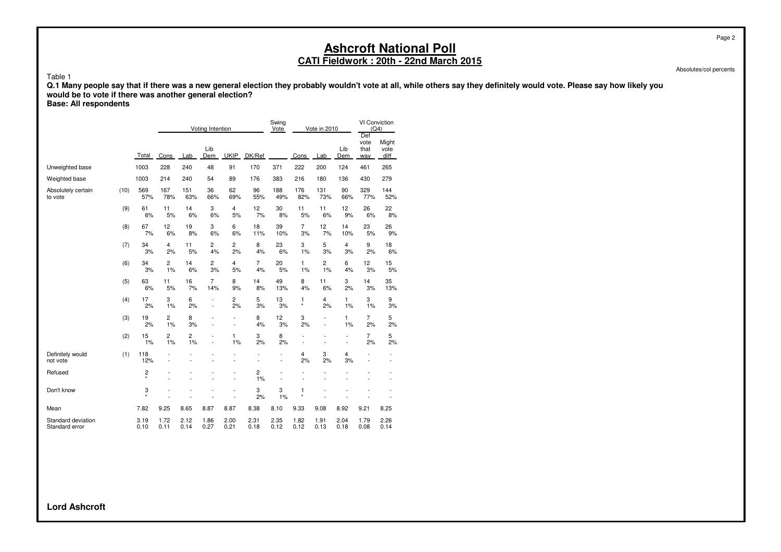Absolutes/col percents

Table 1

**Q.1 Many people say that if there was a new general election they probably wouldn't vote at all, while others say they definitely would vote. Please say how likely you would be to vote if there was another general election? Base: All respondents**

|                                      |      |              |                      |              | Voting Intention                 |                     |                               | Swing<br>Vote                              |                      | Vote in 2010        |                                  | VI Conviction<br>(Q4)<br>Def |                                |
|--------------------------------------|------|--------------|----------------------|--------------|----------------------------------|---------------------|-------------------------------|--------------------------------------------|----------------------|---------------------|----------------------------------|------------------------------|--------------------------------|
|                                      |      | Total        | Cons                 | Lab          | Lib<br>Dem                       | <b>UKIP</b>         | DK/Ref                        |                                            | Cons                 | Lab                 | Lib<br>Dem                       | vote<br>that<br>way          | Might<br>vote<br>diff          |
| Unweighted base                      |      | 1003         | 228                  | 240          | 48                               | 91                  | 170                           | 371                                        | 222                  | 200                 | 124                              | 461                          | 265                            |
| Weighted base                        |      | 1003         | 214                  | 240          | 54                               | 89                  | 176                           | 383                                        | 216                  | 180                 | 136                              | 430                          | 279                            |
| Absolutely certain<br>to vote        | (10) | 569<br>57%   | 167<br>78%           | 151<br>63%   | 36<br>66%                        | 62<br>69%           | 96<br>55%                     | 188<br>49%                                 | 176<br>82%           | 131<br>73%          | 90<br>66%                        | 329<br>77%                   | 144<br>52%                     |
|                                      | (9)  | 61<br>6%     | 11<br>5%             | 14<br>6%     | 3<br>6%                          | 4<br>5%             | 12<br>7%                      | 30<br>8%                                   | 11<br>5%             | 11<br>6%            | 12<br>9%                         | 26<br>6%                     | 22<br>8%                       |
|                                      | (8)  | 67<br>7%     | 12<br>6%             | 19<br>8%     | 3<br>6%                          | 6<br>6%             | 18<br>11%                     | 39<br>10%                                  | $\overline{7}$<br>3% | 12<br>7%            | 14<br>10%                        | 23<br>5%                     | 26<br>9%                       |
|                                      | (7)  | 34<br>3%     | 4<br>2%              | 11<br>5%     | 2<br>4%                          | 2<br>2%             | 8<br>4%                       | 23<br>6%                                   | 3<br>1%              | 5<br>3%             | 4<br>3%                          | 9<br>2%                      | 18<br>6%                       |
|                                      | (6)  | 34<br>3%     | $\overline{c}$<br>1% | 14<br>6%     | 2<br>3%                          | 4<br>5%             | $\overline{7}$<br>4%          | 20<br>5%                                   | $\mathbf{1}$<br>1%   | 2<br>1%             | 6<br>4%                          | 12<br>3%                     | 15<br>5%                       |
|                                      | (5)  | 63<br>6%     | 11<br>5%             | 16<br>7%     | $\overline{7}$<br>14%            | 8<br>9%             | 14<br>8%                      | 49<br>13%                                  | 8<br>4%              | 11<br>6%            | 3<br>2%                          | 14<br>3%                     | 35<br>13%                      |
|                                      | (4)  | 17<br>2%     | 3<br>1%              | 6<br>2%      | $\overline{a}$<br>$\overline{a}$ | 2<br>2%             | 5<br>3%                       | 13<br>3%                                   | 1<br>$\star$         | 4<br>2%             | 1<br>1%                          | 3<br>1%                      | 9<br>3%                        |
|                                      | (3)  | 19<br>2%     | $\overline{c}$<br>1% | 8<br>3%      | L,                               | ÷<br>$\overline{a}$ | 8<br>4%                       | 12<br>3%                                   | 3<br>2%              | $\overline{a}$<br>÷ | 1<br>1%                          | $\overline{7}$<br>2%         | 5<br>2%                        |
|                                      | (2)  | 15<br>1%     | 2<br>1%              | 2<br>1%      | $\overline{a}$<br>$\overline{a}$ | 1<br>1%             | 3<br>2%                       | 8<br>2%                                    | ÷<br>L,              |                     | $\overline{a}$<br>$\overline{a}$ | $\overline{7}$<br>2%         | 5<br>2%                        |
| Definitely would<br>not vote         | (1)  | 118<br>12%   |                      |              |                                  |                     | L,                            | $\overline{\phantom{a}}$<br>$\overline{a}$ | $\overline{4}$<br>2% | 3<br>2%             | 4<br>3%                          | $\overline{a}$               | $\overline{\phantom{a}}$<br>L, |
| Refused                              |      | 2<br>$\star$ |                      |              |                                  | ÷<br>$\overline{a}$ | $\overline{\mathbf{c}}$<br>1% | $\overline{a}$<br>L,                       | L,                   |                     |                                  |                              | ٠<br>÷                         |
| Don't know                           |      | 3<br>$\star$ |                      |              |                                  | L.                  | 3<br>2%                       | 3<br>1%                                    | 1<br>$^\star$        |                     |                                  |                              |                                |
| Mean                                 |      | 7.82         | 9.25                 | 8.65         | 8.87                             | 8.87                | 8.38                          | 8.10                                       | 9.33                 | 9.08                | 8.92                             | 9.21                         | 8.25                           |
| Standard deviation<br>Standard error |      | 3.19<br>0.10 | 1.72<br>0.11         | 2.12<br>0.14 | 1.86<br>0.27                     | 2.00<br>0.21        | 2.31<br>0.18                  | 2.35<br>0.12                               | 1.82<br>0.12         | 1.91<br>0.13        | 2.04<br>0.18                     | 1.79<br>0.08                 | 2.26<br>0.14                   |

**Lord Ashcroft**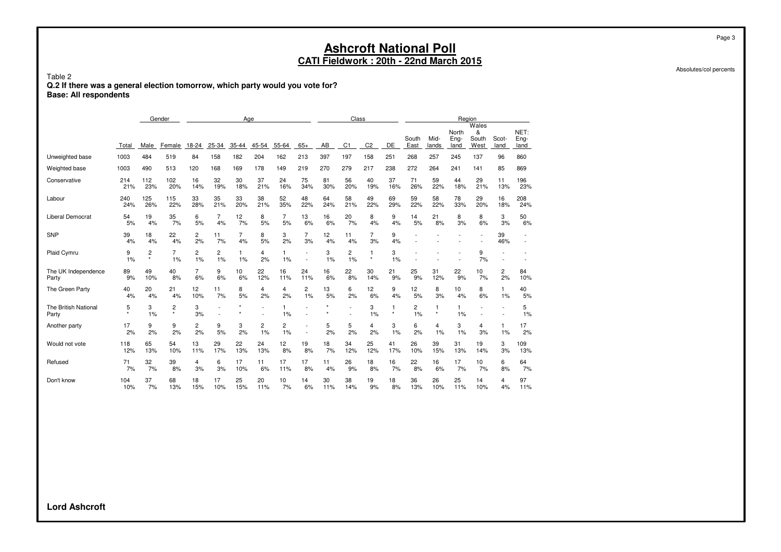Table 2 **Q.2 If there was a general election tomorrow, which party would you vote for? Base: All respondents**

|                               |              |                                    | Gender       |                |          |         | Age     |         |         |          | Class          |                |              |               |               | Region                |                             |               |                      |
|-------------------------------|--------------|------------------------------------|--------------|----------------|----------|---------|---------|---------|---------|----------|----------------|----------------|--------------|---------------|---------------|-----------------------|-----------------------------|---------------|----------------------|
|                               | Total        | Male                               | Female       | 18-24          | 25-34    | 35-44   | 45-54   | 55-64   | $65+$   | AB       | C <sub>1</sub> | C <sub>2</sub> | DE           | South<br>East | Mid-<br>lands | North<br>Eng-<br>land | Wales<br>&<br>South<br>West | Scot-<br>land | NET:<br>Eng-<br>land |
| Unweighted base               | 1003         | 484                                | 519          | 84             | 158      | 182     | 204     | 162     | 213     | 397      | 197            | 158            | 251          | 268           | 257           | 245                   | 137                         | 96            | 860                  |
| Weighted base                 | 1003         | 490                                | 513          | 120            | 168      | 169     | 178     | 149     | 219     | 270      | 279            | 217            | 238          | 272           | 264           | 241                   | 141                         | 85            | 869                  |
| Conservative                  | 214          | 112                                | 102          | 16             | 32       | 30      | 37      | 24      | 75      | 81       | 56             | 40             | 37           | 71            | 59            | 44                    | 29                          | 11            | 196                  |
|                               | 21%          | 23%                                | 20%          | 14%            | 19%      | 18%     | 21%     | 16%     | 34%     | 30%      | 20%            | 19%            | 16%          | 26%           | 22%           | 18%                   | 21%                         | 13%           | 23%                  |
| Labour                        | 240          | 125                                | 115          | 33             | 35       | 33      | 38      | 52      | 48      | 64       | 58             | 49             | 69           | 59            | 58            | 78                    | 29                          | 16            | 208                  |
|                               | 24%          | 26%                                | 22%          | 28%            | 21%      | 20%     | 21%     | 35%     | 22%     | 24%      | 21%            | 22%            | 29%          | 22%           | 22%           | 33%                   | 20%                         | 18%           | 24%                  |
| Liberal Democrat              | 54           | 19                                 | 35           | 6              | 7        | 12      | 8       | 7       | 13      | 16       | 20             | 8              | 9            | 14            | 21            | 8                     | 8                           | 3             | 50                   |
|                               | 5%           | 4%                                 | 7%           | 5%             | 4%       | 7%      | 5%      | 5%      | 6%      | 6%       | 7%             | 4%             | 4%           | 5%            | 8%            | 3%                    | 6%                          | 3%            | 6%                   |
| <b>SNP</b>                    | 39<br>4%     | 18<br>4%                           | 22<br>4%     | 2<br>2%        | 11<br>7% | 7<br>4% | 8<br>5% | 3<br>2% | 7<br>3% | 12<br>4% | 11<br>4%       | 7<br>3%        | 9<br>4%      |               |               |                       |                             | 39<br>46%     |                      |
| Plaid Cymru                   | 9<br>1%      | $\overline{\mathbf{c}}$<br>$\star$ | 7<br>1%      | 2<br>1%        | 2<br>1%  | 1<br>1% | 4<br>2% | 1<br>1% |         | 3<br>1%  | 2<br>1%        | 1<br>$\star$   | 3<br>1%      |               |               |                       | 9<br>7%                     |               |                      |
| The UK Independence           | 89           | 49                                 | 40           | $\overline{7}$ | 9        | 10      | 22      | 16      | 24      | 16       | 22             | 30             | 21           | 25            | 31            | 22                    | 10                          | 2             | 84                   |
| Party                         | 9%           | 10%                                | 8%           | 6%             | 6%       | 6%      | 12%     | 11%     | 11%     | 6%       | 8%             | 14%            | 9%           | 9%            | 12%           | 9%                    | 7%                          | 2%            | 10%                  |
| The Green Party               | 40           | 20                                 | 21           | 12             | 11       | 8       | 4       | 4       | 2       | 13       | 6              | 12             | 9            | 12            | 8             | 10                    | 8                           | $\mathbf{1}$  | 40                   |
|                               | 4%           | 4%                                 | 4%           | 10%            | 7%       | 5%      | 2%      | 2%      | 1%      | 5%       | 2%             | 6%             | 4%           | 5%            | 3%            | 4%                    | 6%                          | 1%            | 5%                   |
| The British National<br>Party | 5<br>$\star$ | 3<br>1%                            | 2<br>$\star$ | 3<br>3%        | ٠<br>٠   |         |         | 1%      |         |          | $\overline{a}$ | 3<br>1%        | 1<br>$\star$ | 2<br>1%       | 1<br>$\star$  | 1<br>1%               | $\overline{a}$              |               | 5<br>1%              |
| Another party                 | 17<br>2%     | 9<br>2%                            | 9<br>2%      | 2<br>2%        | 9<br>5%  | 3<br>2% | 2<br>1% | 2<br>1% |         | 5<br>2%  | 5<br>2%        | 4<br>2%        | 3<br>1%      | 6<br>2%       | 4<br>1%       | 3<br>1%               | 4<br>3%                     | 1<br>1%       | 17<br>2%             |
| Would not vote                | 118          | 65                                 | 54           | 13             | 29       | 22      | 24      | 12      | 19      | 18       | 34             | 25             | 41           | 26            | 39            | 31                    | 19                          | 3             | 109                  |
|                               | 12%          | 13%                                | 10%          | 11%            | 17%      | 13%     | 13%     | 8%      | 8%      | 7%       | 12%            | 12%            | 17%          | 10%           | 15%           | 13%                   | 14%                         | 3%            | 13%                  |
| Refused                       | 71           | 32                                 | 39           | 4              | 6        | 17      | 11      | 17      | 17      | 11       | 26             | 18             | 16           | 22            | 16            | 17                    | 10                          | 6             | 64                   |
|                               | 7%           | 7%                                 | 8%           | 3%             | 3%       | 10%     | 6%      | 11%     | 8%      | 4%       | 9%             | 8%             | 7%           | 8%            | 6%            | 7%                    | 7%                          | 8%            | 7%                   |
| Don't know                    | 104          | 37                                 | 68           | 18             | 17       | 25      | 20      | 10      | 14      | 30       | 38             | 19             | 18           | 36            | 26            | 25                    | 14                          | 4             | 97                   |
|                               | 10%          | 7%                                 | 13%          | 15%            | 10%      | 15%     | 11%     | 7%      | 6%      | 11%      | 14%            | 9%             | 8%           | 13%           | 10%           | 11%                   | 10%                         | 4%            | 11%                  |

Absolutes/col percents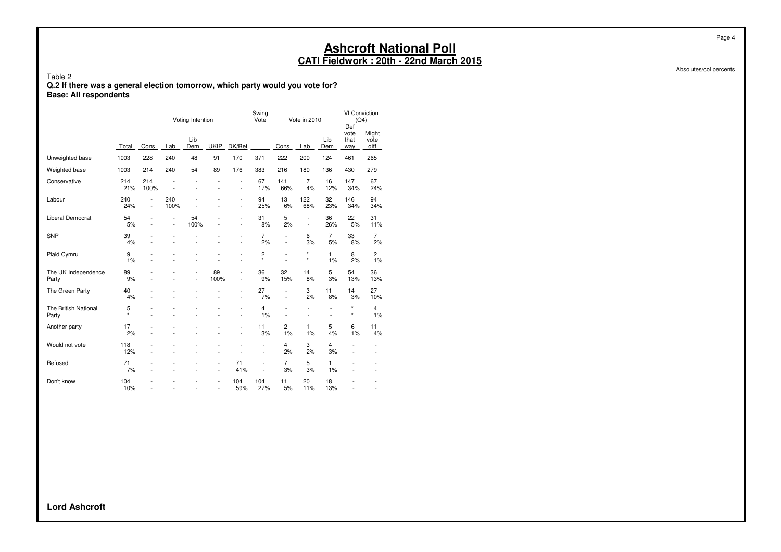Absolutes/col percents

Page 4

Table 2 **Q.2 If there was a general election tomorrow, which party would you vote for? Base: All respondents**

|                               |              |                                            |                                            | Voting Intention |                      |                                                      | Swing<br>Vote                                        |                                  | Vote in 2010        |                | VI Conviction<br>(Q4)<br>Def |                                                          |
|-------------------------------|--------------|--------------------------------------------|--------------------------------------------|------------------|----------------------|------------------------------------------------------|------------------------------------------------------|----------------------------------|---------------------|----------------|------------------------------|----------------------------------------------------------|
|                               | Total        | Cons                                       | Lab                                        | Lib<br>Dem       | <b>UKIP</b>          | DK/Ref                                               |                                                      | Cons                             | Lab                 | Lib<br>Dem     | vote<br>that<br>way          | Might<br>vote<br>diff                                    |
| Unweighted base               | 1003         | 228                                        | 240                                        | 48               | 91                   | 170                                                  | 371                                                  | 222                              | 200                 | 124            | 461                          | 265                                                      |
| Weighted base                 | 1003         | 214                                        | 240                                        | 54               | 89                   | 176                                                  | 383                                                  | 216                              | 180                 | 136            | 430                          | 279                                                      |
| Conservative                  | 214<br>21%   | 214<br>100%                                | L,                                         |                  |                      | $\overline{a}$<br>$\overline{\phantom{0}}$           | 67<br>17%                                            | 141<br>66%                       | 7<br>4%             | 16<br>12%      | 147<br>34%                   | 67<br>24%                                                |
| Labour                        | 240<br>24%   | $\overline{a}$<br>$\overline{\phantom{a}}$ | 240<br>100%                                |                  |                      | $\overline{\phantom{0}}$                             | 94<br>25%                                            | 13<br>6%                         | 122<br>68%          | 32<br>23%      | 146<br>34%                   | 94<br>34%                                                |
| Liberal Democrat              | 54<br>5%     |                                            | $\overline{a}$<br>$\overline{\phantom{a}}$ | 54<br>100%       |                      | $\overline{\phantom{a}}$<br>$\overline{\phantom{a}}$ | 31<br>8%                                             | 5<br>2%                          | L,<br>L,            | 36<br>26%      | 22<br>5%                     | 31<br>11%                                                |
| <b>SNP</b>                    | 39<br>4%     |                                            |                                            |                  |                      | $\overline{a}$                                       | $\overline{7}$<br>2%                                 | L,<br>L,                         | 6<br>3%             | 7<br>5%        | 33<br>8%                     | $\overline{7}$<br>2%                                     |
| Plaid Cymru                   | 9<br>1%      |                                            |                                            |                  |                      | $\overline{a}$<br>$\overline{a}$                     | 2<br>$\star$                                         | $\overline{a}$<br>$\overline{a}$ | $\star$<br>$^\star$ | 1<br>1%        | 8<br>2%                      | 2<br>1%                                                  |
| The UK Independence<br>Party  | 89<br>9%     |                                            |                                            | $\overline{a}$   | 89<br>100%           | L,<br>$\overline{a}$                                 | 36<br>9%                                             | 32<br>15%                        | 14<br>8%            | 5<br>3%        | 54<br>13%                    | 36<br>13%                                                |
| The Green Party               | 40<br>4%     |                                            | $\overline{a}$                             |                  | L,                   | $\overline{a}$                                       | 27<br>7%                                             | L,<br>÷,                         | 3<br>2%             | 11<br>8%       | 14<br>3%                     | 27<br>10%                                                |
| The British National<br>Party | 5<br>$\star$ |                                            |                                            |                  |                      | $\overline{a}$                                       | 4<br>1%                                              | L,                               | L,                  | $\overline{a}$ | $\star$<br>$^\star$          | 4<br>1%                                                  |
| Another party                 | 17<br>2%     |                                            | ÷                                          |                  |                      | $\overline{\phantom{0}}$                             | 11<br>3%                                             | 2<br>1%                          | 1<br>1%             | 5<br>4%        | 6<br>1%                      | 11<br>4%                                                 |
| Would not vote                | 118<br>12%   |                                            |                                            |                  |                      |                                                      | $\overline{\phantom{a}}$<br>$\overline{\phantom{a}}$ | 4<br>2%                          | 3<br>2%             | 4<br>3%        | $\overline{a}$<br>÷          | $\overline{\phantom{0}}$<br>$\qquad \qquad \blacksquare$ |
| Refused                       | 71<br>7%     |                                            |                                            |                  | $\overline{a}$<br>L, | 71<br>41%                                            | ÷<br>L,                                              | $\overline{7}$<br>3%             | 5<br>3%             | 1<br>1%        |                              |                                                          |
| Don't know                    | 104<br>10%   |                                            |                                            |                  | ÷                    | 104<br>59%                                           | 104<br>27%                                           | 11<br>5%                         | 20<br>11%           | 18<br>13%      | ÷                            |                                                          |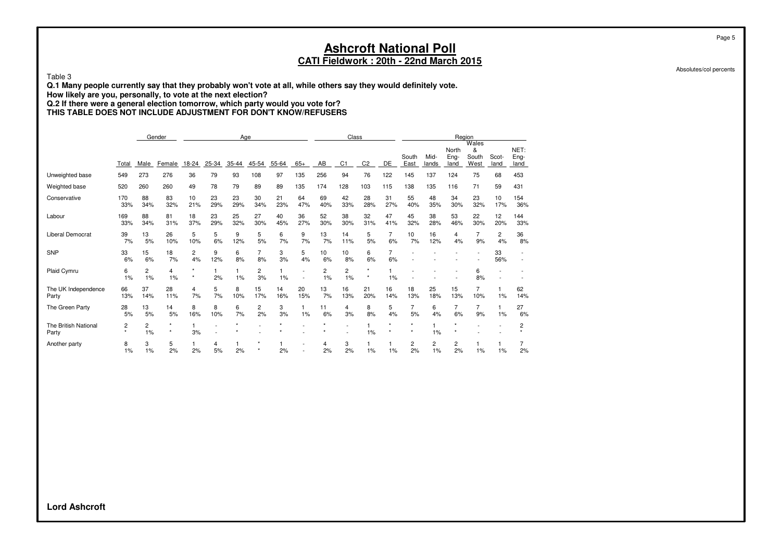Table 3

**Q.1 Many people currently say that they probably won't vote at all, while others say they would definitely vote.**

**How likely are you, personally, to vote at the next election?**

**Q.2 If there were a general election tomorrow, which party would you vote for?**

**THIS TABLE DOES NOT INCLUDE ADJUSTMENT FOR DON'T KNOW/REFUSERS**

|                               |              |           | Gender               |           |           |           | Age                  |           |           |           | Class                |                    |           |                    |               |                       | Region                      |               |                      |
|-------------------------------|--------------|-----------|----------------------|-----------|-----------|-----------|----------------------|-----------|-----------|-----------|----------------------|--------------------|-----------|--------------------|---------------|-----------------------|-----------------------------|---------------|----------------------|
|                               | Total        | Male      | Female               | 18-24     | $25 - 34$ | 35-44     | 45-54                | $55 - 64$ | $65+$     | AB        | C <sub>1</sub>       | C <sub>2</sub>     | DE        | South<br>East      | Mid-<br>lands | North<br>Eng-<br>land | Wales<br>&<br>South<br>West | Scot-<br>land | NET:<br>Eng-<br>land |
| Unweighted base               | 549          | 273       | 276                  | 36        | 79        | 93        | 108                  | 97        | 135       | 256       | 94                   | 76                 | 122       | 145                | 137           | 124                   | 75                          | 68            | 453                  |
| Weighted base                 | 520          | 260       | 260                  | 49        | 78        | 79        | 89                   | 89        | 135       | 174       | 128                  | 103                | 115       | 138                | 135           | 116                   | 71                          | 59            | 431                  |
| Conservative                  | 170<br>33%   | 88<br>34% | 83<br>32%            | 10<br>21% | 23<br>29% | 23<br>29% | 30<br>34%            | 21<br>23% | 64<br>47% | 69<br>40% | 42<br>33%            | 28<br>28%          | 31<br>27% | 55<br>40%          | 48<br>35%     | 34<br>30%             | 23<br>32%                   | 10<br>17%     | 154<br>36%           |
| Labour                        | 169<br>33%   | 88<br>34% | 81<br>31%            | 18<br>37% | 23<br>29% | 25<br>32% | 27<br>30%            | 40<br>45% | 36<br>27% | 52<br>30% | 38<br>30%            | 32<br>31%          | 47<br>41% | 45<br>32%          | 38<br>28%     | 53<br>46%             | 22<br>30%                   | 12<br>20%     | 144<br>33%           |
| Liberal Democrat              | 39<br>7%     | 13<br>5%  | 26<br>10%            | 5<br>10%  | 5<br>6%   | 9<br>12%  | 5<br>5%              | 6<br>7%   | 9<br>7%   | 13<br>7%  | 14<br>11%            | 5<br>5%            | 7<br>6%   | 10<br>7%           | 16<br>12%     | 4<br>4%               | 7<br>9%                     | 2<br>4%       | 36<br>8%             |
| <b>SNP</b>                    | 33<br>6%     | 15<br>6%  | 18<br>7%             | 2<br>4%   | 9<br>12%  | 6<br>8%   | $\overline{7}$<br>8% | 3<br>3%   | 5<br>4%   | 10<br>6%  | 10<br>8%             | 6<br>6%            | 7<br>6%   |                    |               |                       |                             | 33<br>56%     |                      |
| Plaid Cymru                   | 6<br>1%      | 2<br>1%   | $\overline{4}$<br>1% | $\star$   | 2%        | 1%        | $\overline{c}$<br>3% | 1<br>1%   |           | 2<br>1%   | $\overline{c}$<br>1% | $\star$<br>$\star$ | 1%        |                    |               |                       | 6<br>8%                     |               |                      |
| The UK Independence<br>Party  | 66<br>13%    | 37<br>14% | 28<br>11%            | 4<br>7%   | 5<br>7%   | 8<br>10%  | 15<br>17%            | 14<br>16% | 20<br>15% | 13<br>7%  | 16<br>13%            | 21<br>20%          | 16<br>14% | 18<br>13%          | 25<br>18%     | 15<br>13%             | 7<br>10%                    | 1%            | 62<br>14%            |
| The Green Party               | 28<br>5%     | 13<br>5%  | 14<br>5%             | 8<br>16%  | 8<br>10%  | 6<br>7%   | $\overline{c}$<br>2% | 3<br>3%   | 1%        | 11<br>6%  | 4<br>3%              | 8<br>8%            | 5<br>4%   | 5%                 | 6<br>4%       | 7<br>6%               | 9%                          | 1%            | 27<br>6%             |
| The British National<br>Party | 2<br>$\star$ | 2<br>1%   | $\star$<br>$\star$   | 3%        |           |           |                      |           |           |           | $\overline{a}$       | 1%                 | $\star$   | $\star$<br>$\star$ | 1%            |                       |                             |               | 2                    |
| Another party                 | 8<br>1%      | 3<br>1%   | 5<br>2%              | 2%        | 4<br>5%   | 2%        |                      | 2%        |           | 4<br>2%   | 3<br>2%              | 1%                 | 1%        | 2<br>2%            | 2<br>1%       | 2<br>2%               | 1%                          | 1%            | 2%                   |

**Lord Ashcroft**

Page 5

Absolutes/col percents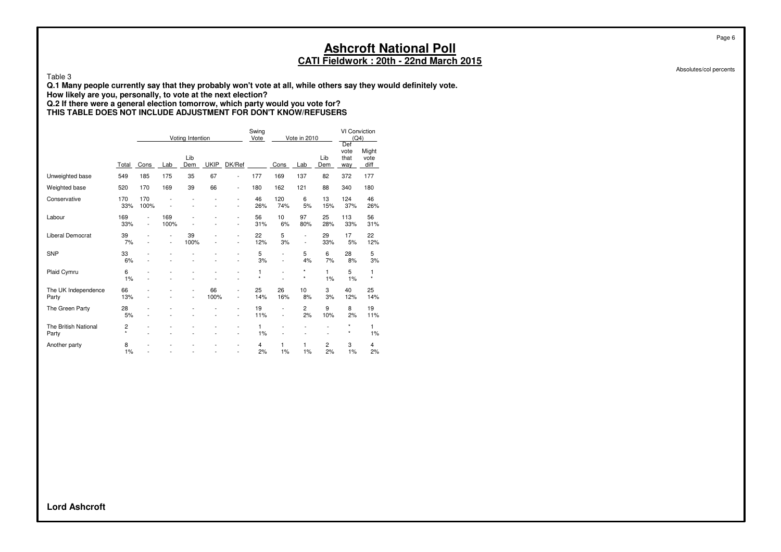Table 3

**Q.1 Many people currently say that they probably won't vote at all, while others say they would definitely vote.**

**How likely are you, personally, to vote at the next election?**

#### **Q.2 If there were a general election tomorrow, which party would you vote for? THIS TABLE DOES NOT INCLUDE ADJUSTMENT FOR DON'T KNOW/REFUSERS**

|                               |              |                                  |                                                      | Voting Intention                 |                          |                                                      | Swing<br>Vote |                                | Vote in 2010                  |            | VI Conviction<br>(Q4)<br>Def |                       |
|-------------------------------|--------------|----------------------------------|------------------------------------------------------|----------------------------------|--------------------------|------------------------------------------------------|---------------|--------------------------------|-------------------------------|------------|------------------------------|-----------------------|
|                               | Total        | Cons                             | Lab                                                  | Lib<br>Dem                       | <b>UKIP</b>              | DK/Ref                                               |               | Cons                           | Lab                           | Lib<br>Dem | vote<br>that<br>way          | Might<br>vote<br>diff |
| Unweighted base               | 549          | 185                              | 175                                                  | 35                               | 67                       | $\overline{\phantom{0}}$                             | 177           | 169                            | 137                           | 82         | 372                          | 177                   |
| Weighted base                 | 520          | 170                              | 169                                                  | 39                               | 66                       | $\overline{\phantom{0}}$                             | 180           | 162                            | 121                           | 88         | 340                          | 180                   |
| Conservative                  | 170<br>33%   | 170<br>100%                      |                                                      |                                  | ÷                        | L,<br>$\overline{\phantom{0}}$                       | 46<br>26%     | 120<br>74%                     | 6<br>5%                       | 13<br>15%  | 124<br>37%                   | 46<br>26%             |
| Labour                        | 169<br>33%   | $\overline{a}$<br>$\overline{a}$ | 169<br>100%                                          |                                  | ÷                        | L,<br>$\overline{\phantom{0}}$                       | 56<br>31%     | 10<br>6%                       | 97<br>80%                     | 25<br>28%  | 113<br>33%                   | 56<br>31%             |
| <b>Liberal Democrat</b>       | 39<br>7%     |                                  | $\overline{\phantom{a}}$<br>$\overline{\phantom{a}}$ | 39<br>100%                       |                          | $\overline{a}$<br>٠                                  | 22<br>12%     | 5<br>3%                        | -<br>$\overline{\phantom{a}}$ | 29<br>33%  | 17<br>5%                     | 22<br>12%             |
| <b>SNP</b>                    | 33<br>6%     |                                  |                                                      |                                  |                          | $\overline{a}$<br>L,                                 | 5<br>3%       | L,<br>$\overline{\phantom{0}}$ | 5<br>4%                       | 6<br>7%    | 28<br>8%                     | 5<br>3%               |
| Plaid Cymru                   | 6<br>1%      |                                  |                                                      |                                  |                          | -                                                    | 1<br>$\star$  | L,                             | *<br>$\star$                  | 1<br>1%    | 5<br>1%                      | 1<br>$\star$          |
| The UK Independence<br>Party  | 66<br>13%    |                                  |                                                      | $\overline{a}$<br>$\overline{a}$ | 66<br>100%               | -<br>$\overline{a}$                                  | 25<br>14%     | 26<br>16%                      | 10<br>8%                      | 3<br>3%    | 40<br>12%                    | 25<br>14%             |
| The Green Party               | 28<br>5%     |                                  |                                                      |                                  | $\overline{\phantom{a}}$ | L,<br>$\overline{a}$                                 | 19<br>11%     | ٠<br>$\overline{\phantom{0}}$  | 2<br>2%                       | 9<br>10%   | 8<br>2%                      | 19<br>11%             |
| The British National<br>Party | 2<br>$\star$ |                                  |                                                      |                                  | $\overline{a}$           | $\overline{\phantom{0}}$<br>$\overline{\phantom{0}}$ | 1<br>1%       |                                | ÷                             |            | $\star$<br>$\star$           | 1<br>1%               |
| Another party                 | 8<br>1%      |                                  |                                                      |                                  | $\overline{a}$           | $\overline{a}$<br>$\overline{a}$                     | 4<br>2%       | 1<br>1%                        | 1<br>1%                       | 2<br>2%    | 3<br>1%                      | 4<br>2%               |

Absolutes/col percents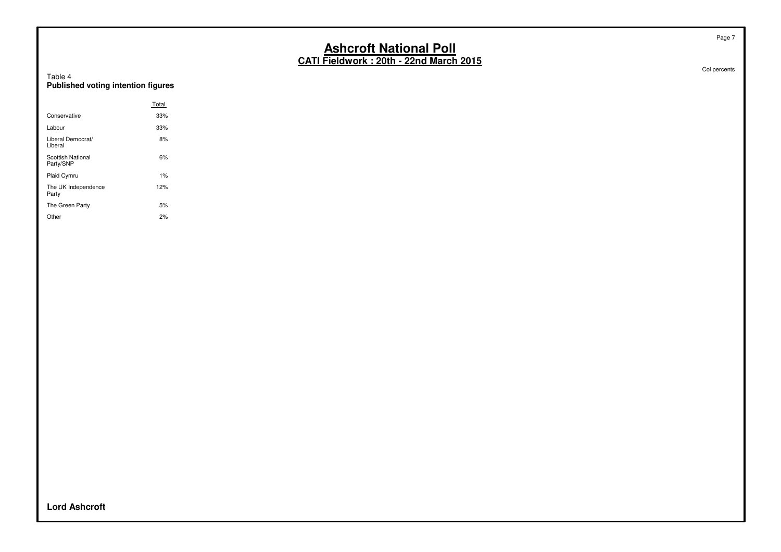### **CATI Fieldwork : 20th - 22nd March 2015**

Table 4 **Published voting intention figures**

|                                | Total |
|--------------------------------|-------|
| Conservative                   | 33%   |
| Labour                         | 33%   |
| Liberal Democrat/<br>Liberal   | 8%    |
| Scottish National<br>Party/SNP | 6%    |
| Plaid Cymru                    | 1%    |
| The UK Independence<br>Party   | 12%   |
| The Green Party                | 5%    |
| Other                          | 2%    |

Col percents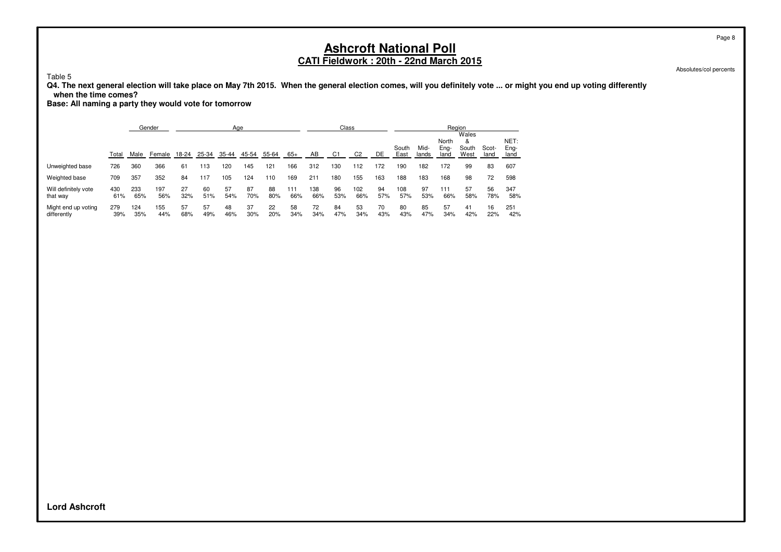Absolutes/col percents

Table 5

**Q4. The next general election will take place on May 7th 2015. When the general election comes, will you definitely vote ... or might you end up voting differently when the time comes?**

**Base: All naming a party they would vote for tomorrow**

|                                    |            |            | Gender     |           |           | Age       |           |           |            |            | Class          |                |           |               |               | Region                |                             |               |                      |
|------------------------------------|------------|------------|------------|-----------|-----------|-----------|-----------|-----------|------------|------------|----------------|----------------|-----------|---------------|---------------|-----------------------|-----------------------------|---------------|----------------------|
|                                    | Total      | Male       | Female     | 18-24     | 25-34     | 35-44     | 45-54     | 55-64     | $65+$      | AB         | C <sub>1</sub> | C <sub>2</sub> | DE        | South<br>East | Mid-<br>lands | North<br>Eng-<br>land | Wales<br>&<br>South<br>West | Scot-<br>land | NET:<br>Eng-<br>land |
| Unweighted base                    | 726        | 360        | 366        | 61        | 13        | 120       | 145       | 121       | 166        | 312        | 130            | 112            | 172       | 190           | 182           | 172                   | 99                          | 83            | 607                  |
| Weighted base                      | 709        | 357        | 352        | 84        | 117       | 105       | 124       | 110       | 169        | 211        | 180            | 155            | 163       | 188           | 183           | 168                   | 98                          | 72            | 598                  |
| Will definitely vote<br>that way   | 430<br>61% | 233<br>65% | 197<br>56% | 27<br>32% | 60<br>51% | 57<br>54% | 87<br>70% | 88<br>80% | 111<br>66% | 138<br>66% | 96<br>53%      | 102<br>66%     | 94<br>57% | 108<br>57%    | 97<br>53%     | 111<br>66%            | 57<br>58%                   | 56<br>78%     | 347<br>58%           |
| Might end up voting<br>differently | 279<br>39% | 124<br>35% | 155<br>44% | 57<br>68% | 57<br>49% | 48<br>46% | 37<br>30% | 22<br>20% | 58<br>34%  | 72<br>34%  | 84<br>47%      | 53<br>34%      | 70<br>43% | 80<br>43%     | 85<br>47%     | 57<br>34%             | 41<br>42%                   | 16<br>22%     | 251<br>42%           |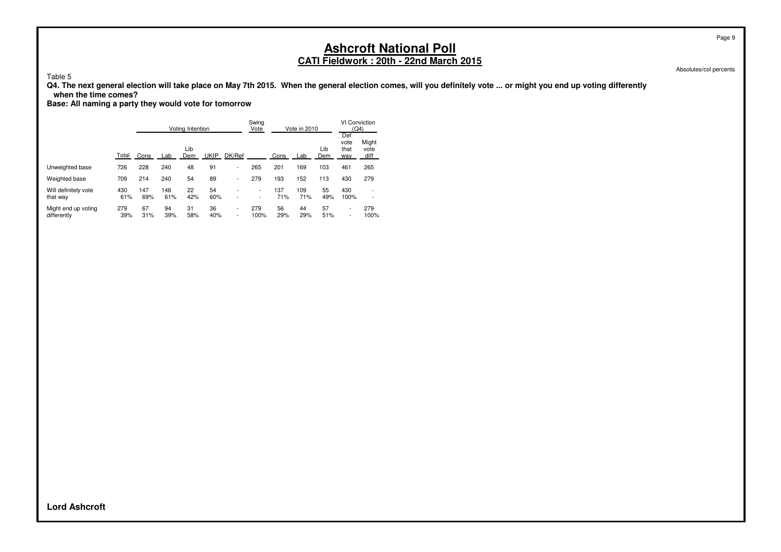Table 5

**Q4. The next general election will take place on May 7th 2015. When the general election comes, will you definitely vote ... or might you end up voting differently when the time comes?**

**Base: All naming a party they would vote for tomorrow**

|                                    |            |            |            | Votina Intention |             |                               | Swing<br>Vote                                        |            | Vote in 2010 |            | VI Conviction<br>(Q4)      |                               |
|------------------------------------|------------|------------|------------|------------------|-------------|-------------------------------|------------------------------------------------------|------------|--------------|------------|----------------------------|-------------------------------|
|                                    | Total      | Cons       | Lab        | Lib<br>Dem       | <b>UKIP</b> | DK/Ref                        |                                                      | Cons       | Lab          | Lib<br>Dem | Def<br>vote<br>that<br>way | Might<br>vote<br>diff         |
| Unweighted base                    | 726        | 228        | 240        | 48               | 91          | $\overline{\phantom{0}}$      | 265                                                  | 201        | 169          | 103        | 461                        | 265                           |
| Weighted base                      | 709        | 214        | 240        | 54               | 89          | $\overline{\phantom{a}}$      | 279                                                  | 193        | 152          | 113        | 430                        | 279                           |
| Will definitely vote<br>that way   | 430<br>61% | 147<br>69% | 146<br>61% | 22<br>42%        | 54<br>60%   | -                             | $\overline{\phantom{a}}$<br>$\overline{\phantom{a}}$ | 137<br>71% | 109<br>71%   | 55<br>49%  | 430<br>100%                | ۰<br>$\overline{\phantom{0}}$ |
| Might end up voting<br>differently | 279<br>39% | 67<br>31%  | 94<br>39%  | 31<br>58%        | 36<br>40%   | $\overline{\phantom{0}}$<br>۰ | 279<br>100%                                          | 56<br>29%  | 44<br>29%    | 57<br>51%  | ۰<br>۰                     | 279<br>100%                   |

Page 9

Absolutes/col percents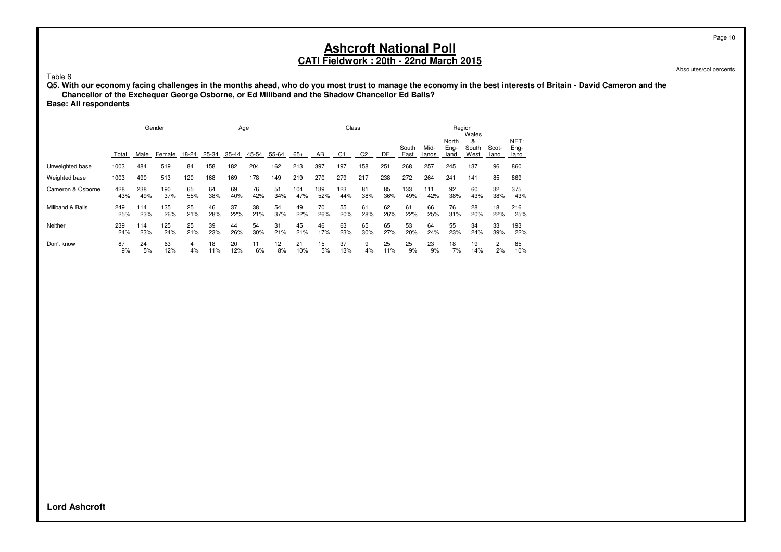Absolutes/col percents

Table 6

**Q5. With our economy facing challenges in the months ahead, who do you most trust to manage the economy in the best interests of Britain - David Cameron and the Chancellor of the Exchequer George Osborne, or Ed Miliband and the Shadow Chancellor Ed Balls?**

**Base: All respondents**

|                   |       |      | Gender |       |       | Age   |       |       |       |     | Class |                |     |               |               |                       | Region                      |               |                      |
|-------------------|-------|------|--------|-------|-------|-------|-------|-------|-------|-----|-------|----------------|-----|---------------|---------------|-----------------------|-----------------------------|---------------|----------------------|
|                   | Total | Male | Female | 18-24 | 25-34 | 35-44 | 45-54 | 55-64 | $65+$ | AB  | C1    | C <sub>2</sub> | DE  | South<br>East | Mid-<br>lands | North<br>Eng-<br>land | Wales<br>&<br>South<br>West | Scot-<br>land | NET:<br>Eng-<br>land |
| Unweighted base   | 1003  | 484  | 519    | 84    | 158   | 182   | 204   | 162   | 213   | 397 | 197   | 158            | 251 | 268           | 257           | 245                   | 137                         | 96            | 860                  |
| Weighted base     | 1003  | 490  | 513    | 120   | 168   | 169   | 178   | 149   | 219   | 270 | 279   | 217            | 238 | 272           | 264           | 241                   | 141                         | 85            | 869                  |
| Cameron & Osborne | 428   | 238  | 190    | 65    | 64    | 69    | 76    | 51    | 104   | 139 | 123   | 81             | 85  | 133           | 111           | 92                    | 60                          | 32            | 375                  |
|                   | 43%   | 49%  | 37%    | 55%   | 38%   | 40%   | 42%   | 34%   | 47%   | 52% | 44%   | 38%            | 36% | 49%           | 42%           | 38%                   | 43%                         | 38%           | 43%                  |
| Miliband & Balls  | 249   | 114  | 135    | 25    | 46    | 37    | 38    | 54    | 49    | 70  | 55    | 61             | 62  | 61            | 66            | 76                    | 28                          | 18            | 216                  |
|                   | 25%   | 23%  | 26%    | 21%   | 28%   | 22%   | 21%   | 37%   | 22%   | 26% | 20%   | 28%            | 26% | 22%           | 25%           | 31%                   | 20%                         | 22%           | 25%                  |
| Neither           | 239   | 114  | 125    | 25    | 39    | 44    | 54    | 31    | 45    | 46  | 63    | 65             | 65  | 53            | 64            | 55                    | 34                          | 33            | 193                  |
|                   | 24%   | 23%  | 24%    | 21%   | 23%   | 26%   | 30%   | 21%   | 21%   | 17% | 23%   | 30%            | 27% | 20%           | 24%           | 23%                   | 24%                         | 39%           | 22%                  |
| Don't know        | 87    | 24   | 63     | 4     | 18    | 20    | 11    | 12    | 21    | 15  | 37    | 9              | 25  | 25            | 23            | 18                    | 19                          | 2             | 85                   |
|                   | 9%    | 5%   | 12%    | 4%    | 11%   | 12%   | 6%    | 8%    | 10%   | 5%  | 13%   | 4%             | 11% | 9%            | 9%            | 7%                    | 14%                         | 2%            | 10%                  |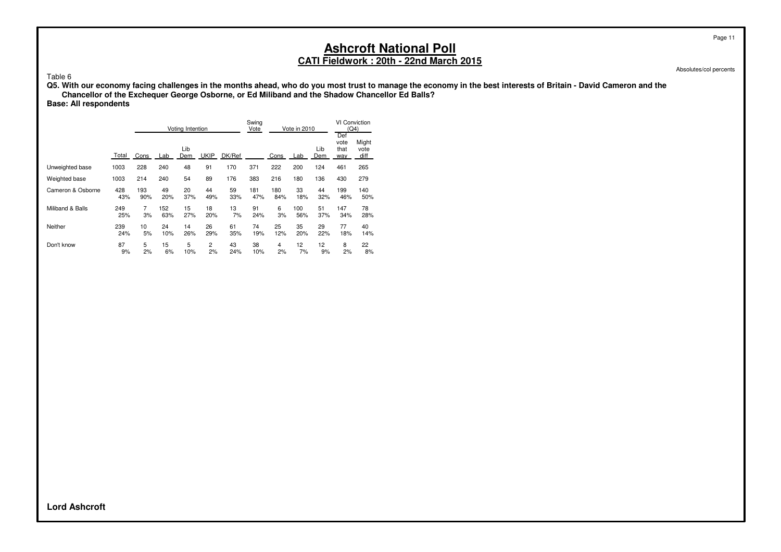Absolutes/col percents

Table 6

**Q5. With our economy facing challenges in the months ahead, who do you most trust to manage the economy in the best interests of Britain - David Cameron and the Chancellor of the Exchequer George Osborne, or Ed Miliband and the Shadow Chancellor Ed Balls?**

**Base: All respondents**

|                   |       |      |     | Voting Intention |             |        | Swina<br>Vote |      | Vote in 2010 |            | VI Conviction<br>(Q4)<br>Def |                       |
|-------------------|-------|------|-----|------------------|-------------|--------|---------------|------|--------------|------------|------------------------------|-----------------------|
|                   | Total | Cons | Lab | Lib<br>Dem       | <b>UKIP</b> | DK/Ref |               | Cons | Lab          | Lib<br>Dem | vote<br>that<br>way          | Might<br>vote<br>diff |
| Unweighted base   | 1003  | 228  | 240 | 48               | 91          | 170    | 371           | 222  | 200          | 124        | 461                          | 265                   |
| Weighted base     | 1003  | 214  | 240 | 54               | 89          | 176    | 383           | 216  | 180          | 136        | 430                          | 279                   |
| Cameron & Osborne | 428   | 193  | 49  | 20               | 44          | 59     | 181           | 180  | 33           | 44         | 199                          | 140                   |
|                   | 43%   | 90%  | 20% | 37%              | 49%         | 33%    | 47%           | 84%  | 18%          | 32%        | 46%                          | 50%                   |
| Miliband & Balls  | 249   | 7    | 152 | 15               | 18          | 13     | 91            | 6    | 100          | 51         | 147                          | 78                    |
|                   | 25%   | 3%   | 63% | 27%              | 20%         | 7%     | 24%           | 3%   | 56%          | 37%        | 34%                          | 28%                   |
| Neither           | 239   | 10   | 24  | 14               | 26          | 61     | 74            | 25   | 35           | 29         | 77                           | 40                    |
|                   | 24%   | 5%   | 10% | 26%              | 29%         | 35%    | 19%           | 12%  | 20%          | 22%        | 18%                          | 14%                   |
| Don't know        | 87    | 5    | 15  | 5                | 2           | 43     | 38            | 4    | 12           | 12         | 8                            | 22                    |
|                   | 9%    | 2%   | 6%  | 10%              | 2%          | 24%    | 10%           | 2%   | 7%           | 9%         | 2%                           | 8%                    |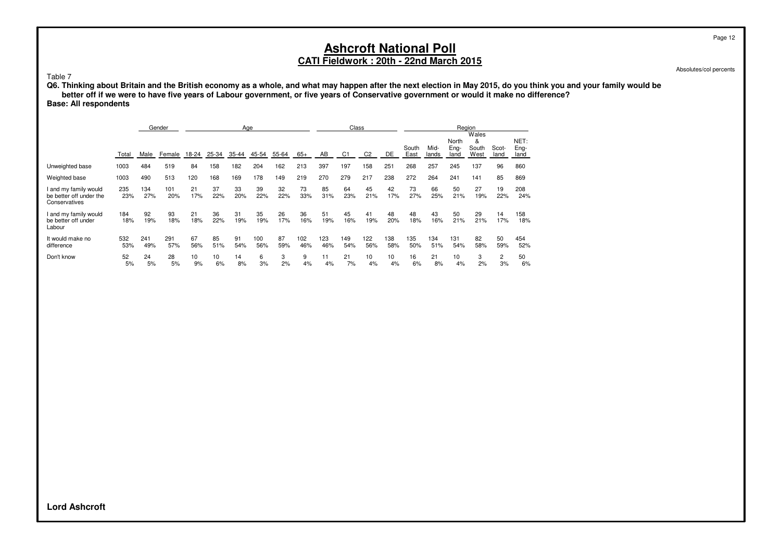Absolutes/col percents

#### Table 7

**Q6. Thinking about Britain and the British economy as a whole, and what may happen after the next election in May 2015, do you think you and your family would be better off if we were to have five years of Labour government, or five years of Conservative government or would it make no difference? Base: All respondents**

|                                                                   |            |            | Gender     |           |           |           | Age        |           |            |            | Class          |                |            |               |               |                       | Region                      |               |                      |
|-------------------------------------------------------------------|------------|------------|------------|-----------|-----------|-----------|------------|-----------|------------|------------|----------------|----------------|------------|---------------|---------------|-----------------------|-----------------------------|---------------|----------------------|
|                                                                   | Total      | Male       | Female     | 18-24     | $25 - 34$ | 35-44     | $45 - 54$  | $55 - 64$ | $65+$      | AB         | C <sub>1</sub> | C <sub>2</sub> | DE         | South<br>East | Mid-<br>lands | North<br>Eng-<br>land | Wales<br>&<br>South<br>West | Scot-<br>land | NET:<br>Eng-<br>land |
| Unweighted base                                                   | 1003       | 484        | 519        | 84        | 158       | 182       | 204        | 162       | 213        | 397        | 197            | 158            | 251        | 268           | 257           | 245                   | 137                         | 96            | 860                  |
| Weighted base                                                     | 1003       | 490        | 513        | 120       | 168       | 169       | 178        | 149       | 219        | 270        | 279            | 217            | 238        | 272           | 264           | 241                   | 141                         | 85            | 869                  |
| l and my family would<br>be better off under the<br>Conservatives | 235<br>23% | 134<br>27% | 101<br>20% | 21<br>17% | 37<br>22% | 33<br>20% | 39<br>22%  | 32<br>22% | 73<br>33%  | 85<br>31%  | 64<br>23%      | 45<br>21%      | 42<br>17%  | 73<br>27%     | 66<br>25%     | 50<br>21%             | 27<br>19%                   | 19<br>22%     | 208<br>24%           |
| I and my family would<br>be better off under<br>Labour            | 184<br>18% | 92<br>19%  | 93<br>18%  | 21<br>18% | 36<br>22% | 31<br>19% | 35<br>19%  | 26<br>17% | 36<br>16%  | 51<br>19%  | 45<br>16%      | 41<br>19%      | 48<br>20%  | 48<br>18%     | 43<br>16%     | 50<br>21%             | 29<br>21%                   | 14<br>17%     | 158<br>18%           |
| It would make no<br>difference                                    | 532<br>53% | 241<br>49% | 291<br>57% | 67<br>56% | 85<br>51% | 91<br>54% | 100<br>56% | 87<br>59% | 102<br>46% | 123<br>46% | 149<br>54%     | 122<br>56%     | 138<br>58% | 135<br>50%    | 134<br>51%    | 131<br>54%            | 82<br>58%                   | 50<br>59%     | 454<br>52%           |
| Don't know                                                        | 52<br>5%   | 24<br>5%   | 28<br>5%   | 10<br>9%  | 10<br>6%  | 14<br>8%  | 6<br>3%    | 3<br>2%   | 9<br>4%    | 11<br>4%   | 21<br>7%       | 10<br>4%       | 10<br>4%   | 16<br>6%      | 21<br>8%      | 10<br>4%              | 3<br>2%                     | 2<br>3%       | 50<br>6%             |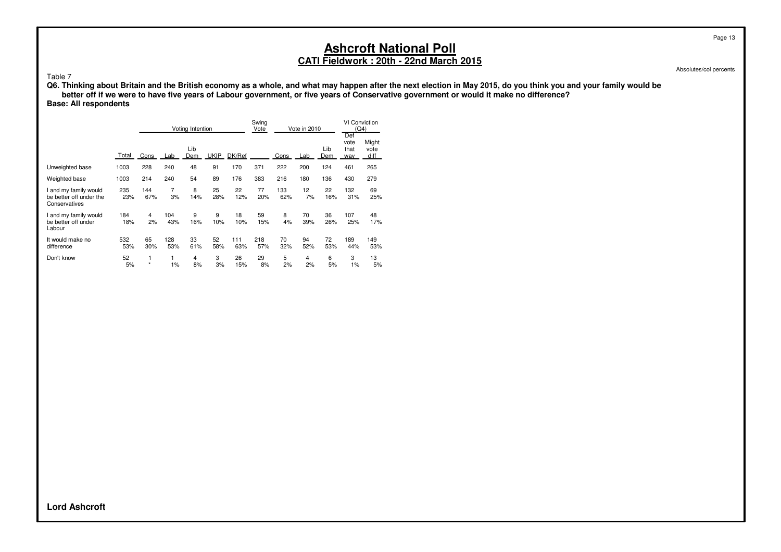Absolutes/col percents

#### Table 7

**Q6. Thinking about Britain and the British economy as a whole, and what may happen after the next election in May 2015, do you think you and your family would be better off if we were to have five years of Labour government, or five years of Conservative government or would it make no difference?**

**Base: All respondents**

|                                                                   |            |              |            | Voting Intention |             | Swing<br>Vote | Vote in 2010 |            | <b>VI Conviction</b><br>(Q4)<br>Def |            |                     |                       |
|-------------------------------------------------------------------|------------|--------------|------------|------------------|-------------|---------------|--------------|------------|-------------------------------------|------------|---------------------|-----------------------|
|                                                                   | Total      | Cons         | Lab        | Lib<br>Dem       | <b>UKIP</b> | DK/Ref        |              | Cons       | Lab                                 | Lib<br>Dem | vote<br>that<br>way | Might<br>vote<br>diff |
| Unweighted base                                                   | 1003       | 228          | 240        | 48               | 91          | 170           | 371          | 222        | 200                                 | 124        | 461                 | 265                   |
| Weighted base                                                     | 1003       | 214          | 240        | 54               | 89          | 176           | 383          | 216        | 180                                 | 136        | 430                 | 279                   |
| I and my family would<br>be better off under the<br>Conservatives | 235<br>23% | 144<br>67%   | 7<br>3%    | 8<br>14%         | 25<br>28%   | 22<br>12%     | 77<br>20%    | 133<br>62% | 12<br>7%                            | 22<br>16%  | 132<br>31%          | 69<br>25%             |
| I and my family would<br>be better off under<br>Labour            | 184<br>18% | 4<br>2%      | 104<br>43% | 9<br>16%         | 9<br>10%    | 18<br>10%     | 59<br>15%    | 8<br>4%    | 70<br>39%                           | 36<br>26%  | 107<br>25%          | 48<br>17%             |
| It would make no<br>difference                                    | 532<br>53% | 65<br>30%    | 128<br>53% | 33<br>61%        | 52<br>58%   | 111<br>63%    | 218<br>57%   | 70<br>32%  | 94<br>52%                           | 72<br>53%  | 189<br>44%          | 149<br>53%            |
| Don't know                                                        | 52<br>5%   | 1<br>$\star$ | 1<br>1%    | 4<br>8%          | 3<br>3%     | 26<br>15%     | 29<br>8%     | 5<br>2%    | 4<br>2%                             | 6<br>5%    | 3<br>1%             | 13<br>5%              |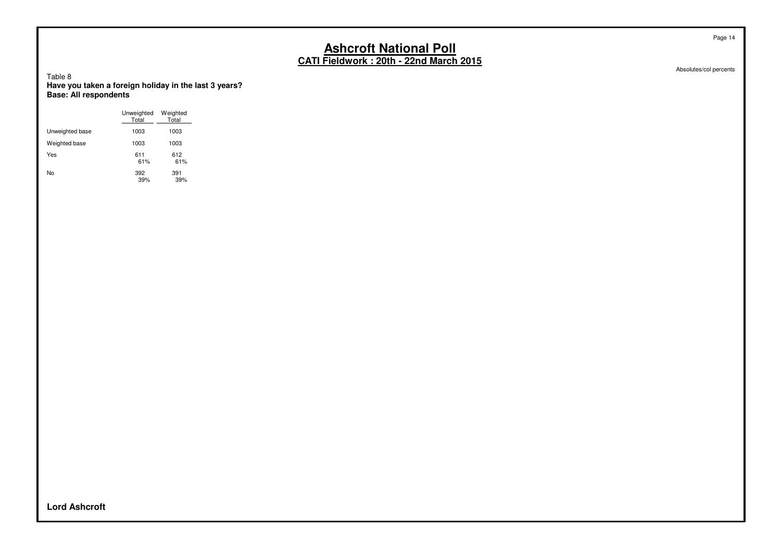Absolutes/col percents

Table 8 **Have you taken a foreign holiday in the last 3 years? Base: All respondents**

|                 | Unweighted<br>Total | Weighted<br>Total |
|-----------------|---------------------|-------------------|
| Unweighted base | 1003                | 1003              |
| Weighted base   | 1003                | 1003              |
| Yes             | 611<br>61%          | 612<br>61%        |
| No              | 392<br>39%          | 391<br>39%        |

**Lord Ashcroft**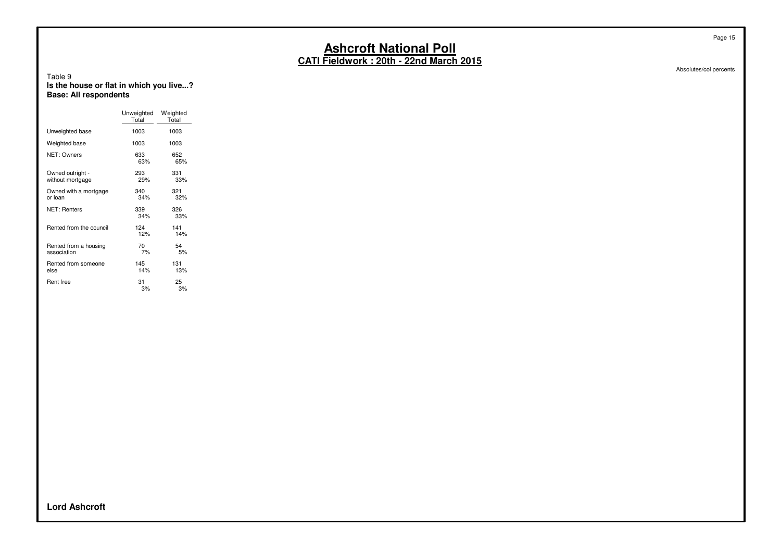Absolutes/col percents

#### Table 9 **Is the house or flat in which you live...? Base: All respondents**

|                                      | Unweighted<br>Total | Weighted<br>Total |
|--------------------------------------|---------------------|-------------------|
| Unweighted base                      | 1003                | 1003              |
| Weighted base                        | 1003                | 1003              |
| NET: Owners                          | 633<br>63%          | 652<br>65%        |
| Owned outright -<br>without mortgage | 293<br>29%          | 331<br>33%        |
| Owned with a mortgage<br>or loan     | 340<br>34%          | 321<br>32%        |
| <b>NET: Renters</b>                  | 339<br>34%          | 326<br>33%        |
| Rented from the council              | 124<br>12%          | 141<br>14%        |
| Rented from a housing<br>association | 70<br>7%            | 54<br>5%          |
| Rented from someone<br>else          | 145<br>14%          | 131<br>13%        |
| Rent free                            | 31<br>3%            | 25<br>3%          |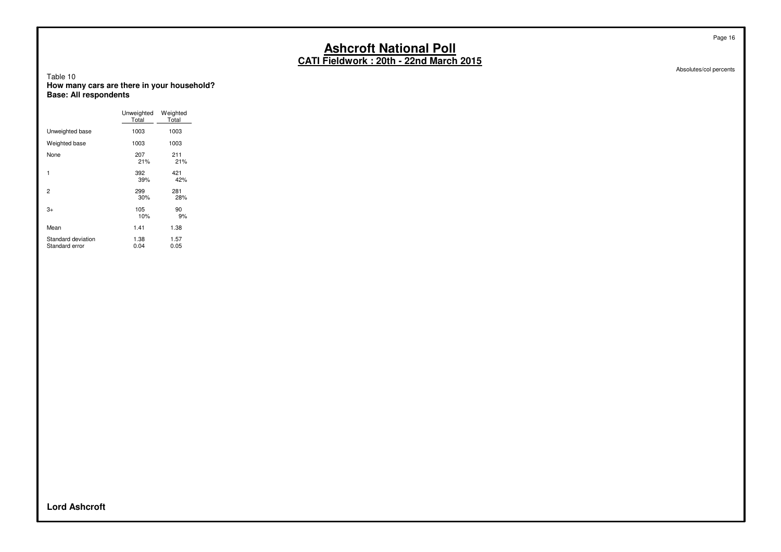Absolutes/col percents

#### Table 10 **How many cars are there in your household? Base: All respondents**

|                                      | Unweighted<br>Total | Weighted<br>Total |
|--------------------------------------|---------------------|-------------------|
| Unweighted base                      | 1003                | 1003              |
| Weighted base                        | 1003                | 1003              |
| None                                 | 207<br>21%          | 211<br>21%        |
| 1                                    | 392<br>39%          | 421<br>42%        |
| 2                                    | 299<br>30%          | 281<br>28%        |
| 3+                                   | 105<br>10%          | 90<br>9%          |
| Mean                                 | 1.41                | 1.38              |
| Standard deviation<br>Standard error | 1.38<br>0.04        | 1.57<br>0.05      |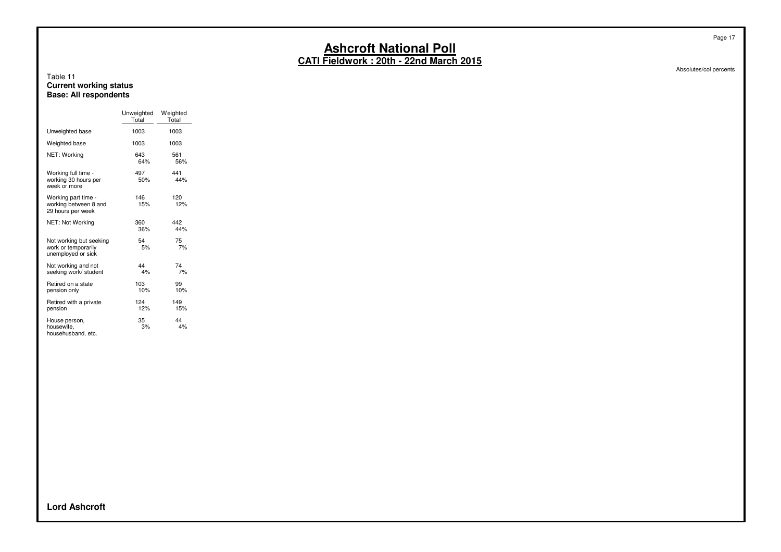**CATI Fieldwork : 20th - 22nd March 2015**

#### Table 11 **Current working status Base: All respondents**

|                                                                      | Unweighted<br>Total | Weighted<br>Total |
|----------------------------------------------------------------------|---------------------|-------------------|
| Unweighted base                                                      | 1003                | 1003              |
| Weighted base                                                        | 1003                | 1003              |
| NET: Working                                                         | 643<br>64%          | 561<br>56%        |
| Working full time -<br>working 30 hours per<br>week or more          | 497<br>50%          | 441<br>44%        |
| Working part time -<br>working between 8 and<br>29 hours per week    | 146<br>15%          | 120<br>12%        |
| NET: Not Working                                                     | 360<br>36%          | 442<br>44%        |
| Not working but seeking<br>work or temporarily<br>unemployed or sick | 54<br>5%            | 75<br>7%          |
| Not working and not<br>seeking work/ student                         | 44<br>4%            | 74<br>7%          |
| Retired on a state<br>pension only                                   | 103<br>10%          | 99<br>10%         |
| Retired with a private<br>pension                                    | 124<br>12%          | 149<br>15%        |
| House person,<br>housewife,<br>househusband, etc.                    | 35<br>3%            | 44<br>4%          |

Absolutes/col percents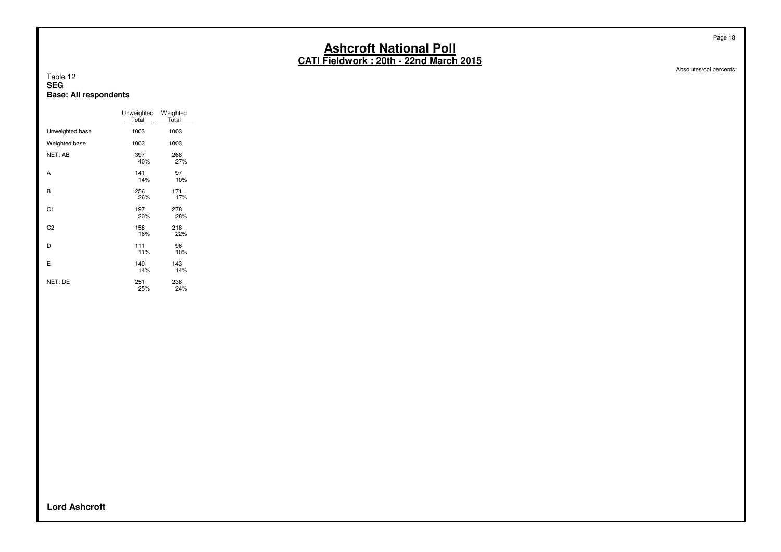**CATI Fieldwork : 20th - 22nd March 2015**

#### Table 12 **SEG Base: All respondents**

|                 | Unweighted<br>Total | Weighted<br>Total |
|-----------------|---------------------|-------------------|
| Unweighted base | 1003                | 1003              |
| Weighted base   | 1003                | 1003              |
| NET: AB         | 397<br>40%          | 268<br>27%        |
| Α               | 141<br>14%          | 97<br>10%         |
| B               | 256<br>26%          | 171<br>17%        |
| C <sub>1</sub>  | 197<br>20%          | 278<br>28%        |
| C <sub>2</sub>  | 158<br>16%          | 218<br>22%        |
| D               | 111<br>11%          | 96<br>10%         |
| Ε               | 140<br>14%          | 143<br>14%        |
| NET: DE         | 251<br>25%          | 238<br>24%        |

**Lord Ashcroft**

Page 18

Absolutes/col percents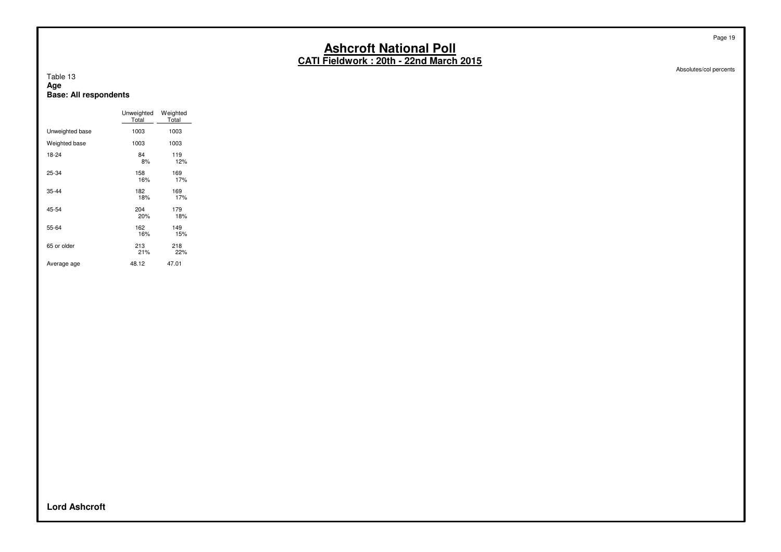**CATI Fieldwork : 20th - 22nd March 2015**

#### Table 13 **Age Base: All respondents**

|                 | Unweighted<br>Total | Weighted<br>Total |
|-----------------|---------------------|-------------------|
| Unweighted base | 1003                | 1003              |
| Weighted base   | 1003                | 1003              |
| 18-24           | 84<br>8%            | 119<br>12%        |
| 25-34           | 158<br>16%          | 169<br>17%        |
| $35 - 44$       | 182<br>18%          | 169<br>17%        |
| 45-54           | 204<br>20%          | 179<br>18%        |
| 55-64           | 162<br>16%          | 149<br>15%        |
| 65 or older     | 213<br>21%          | 218<br>22%        |
| Average age     | 48.12               | 47.01             |

Absolutes/col percents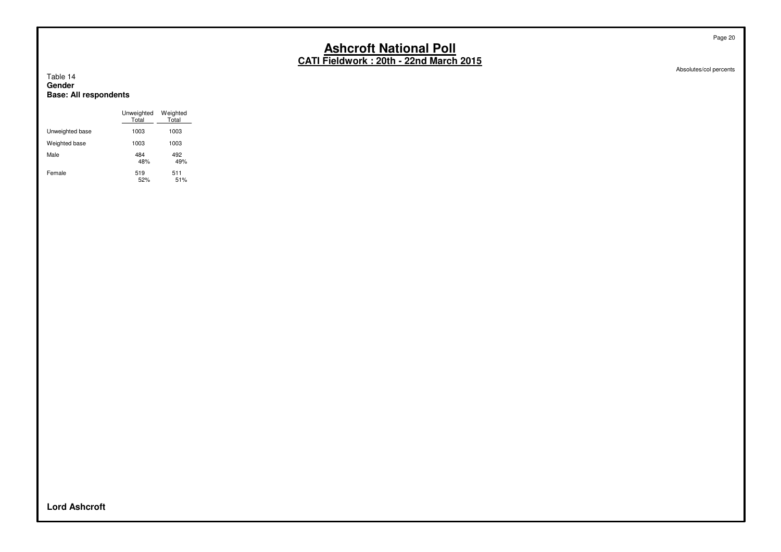Absolutes/col percents

#### Table 14 **Gender Base: All respondents**

|                 | Unweighted<br>Total | Weighted<br>Total |
|-----------------|---------------------|-------------------|
| Unweighted base | 1003                | 1003              |
| Weighted base   | 1003                | 1003              |
| Male            | 484<br>48%          | 492<br>49%        |
| Female          | 519<br>52%          | 511<br>51%        |

**Lord Ashcroft**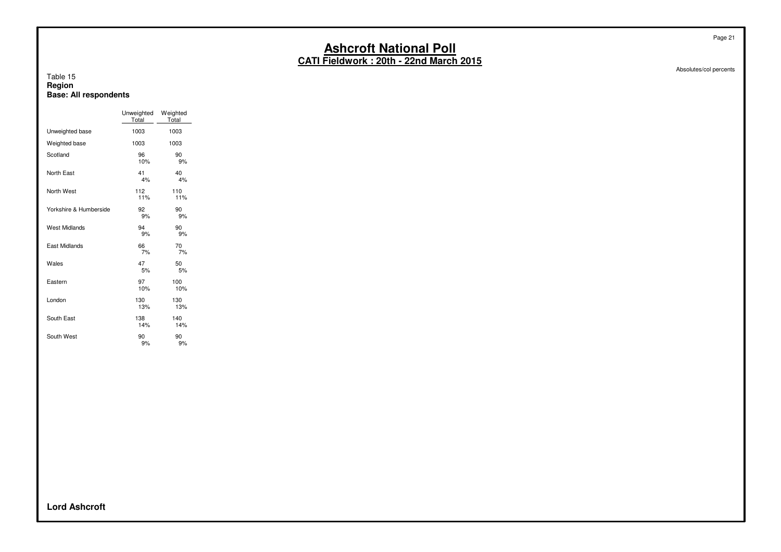Absolutes/col percents

#### Table 15 **Region Base: All respondents**

|                        | Unweighted<br>Total | Weighted<br>Total |
|------------------------|---------------------|-------------------|
| Unweighted base        | 1003                | 1003              |
| Weighted base          | 1003                | 1003              |
| Scotland               | 96<br>10%           | 90<br>9%          |
| North East             | 41<br>4%            | 40<br>4%          |
| North West             | 112<br>11%          | 110<br>11%        |
| Yorkshire & Humberside | 92<br>9%            | 90<br>9%          |
| West Midlands          | 94<br>9%            | 90<br>9%          |
| East Midlands          | 66<br>7%            | 70<br>7%          |
| Wales                  | 47<br>5%            | 50<br>5%          |
| Eastern                | 97<br>10%           | 100<br>10%        |
| London                 | 130<br>13%          | 130<br>13%        |
| South East             | 138<br>14%          | 140<br>14%        |
| South West             | 90<br>9%            | 90<br>9%          |

**Lord Ashcroft**